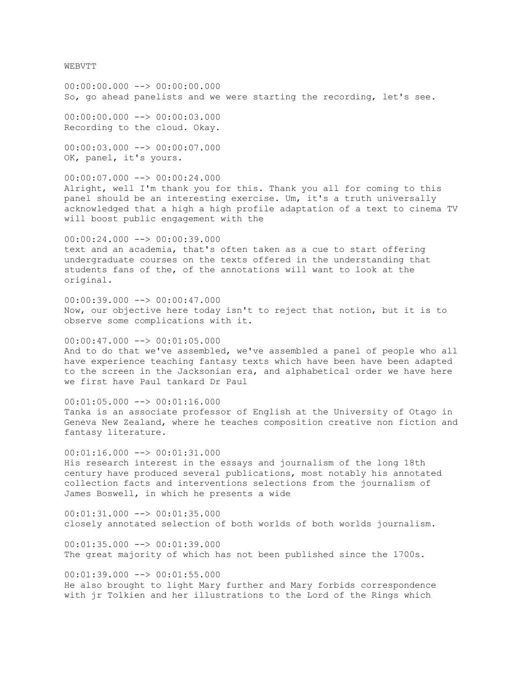WEBVTT

 $00:00:00.000$   $\longrightarrow$  00:00:00.000 So, go ahead panelists and we were starting the recording, let's see.

00:00:00.000 --> 00:00:03.000 Recording to the cloud. Okay.

00:00:03.000 --> 00:00:07.000 OK, panel, it's yours.

00:00:07.000 --> 00:00:24.000 Alright, well I'm thank you for this. Thank you all for coming to this panel should be an interesting exercise. Um, it's a truth universally acknowledged that a high a high profile adaptation of a text to cinema TV will boost public engagement with the

 $00:00:24.000$  -->  $00:00:39.000$ text and an academia, that's often taken as a cue to start offering undergraduate courses on the texts offered in the understanding that students fans of the, of the annotations will want to look at the original.

00:00:39.000 --> 00:00:47.000 Now, our objective here today isn't to reject that notion, but it is to observe some complications with it.

 $00:00:47.000$   $\rightarrow$   $00:01:05.000$ And to do that we've assembled, we've assembled a panel of people who all have experience teaching fantasy texts which have been have been adapted to the screen in the Jacksonian era, and alphabetical order we have here we first have Paul tankard Dr Paul

 $00:01:05.000$  -->  $00:01:16.000$ Tanka is an associate professor of English at the University of Otago in Geneva New Zealand, where he teaches composition creative non fiction and fantasy literature.

00:01:16.000 --> 00:01:31.000 His research interest in the essays and journalism of the long 18th century have produced several publications, most notably his annotated collection facts and interventions selections from the journalism of James Boswell, in which he presents a wide

00:01:31.000 --> 00:01:35.000 closely annotated selection of both worlds of both worlds journalism.

 $00:01:35.000$  -->  $00:01:39.000$ The great majority of which has not been published since the 1700s.

00:01:39.000 --> 00:01:55.000 He also brought to light Mary further and Mary forbids correspondence with jr Tolkien and her illustrations to the Lord of the Rings which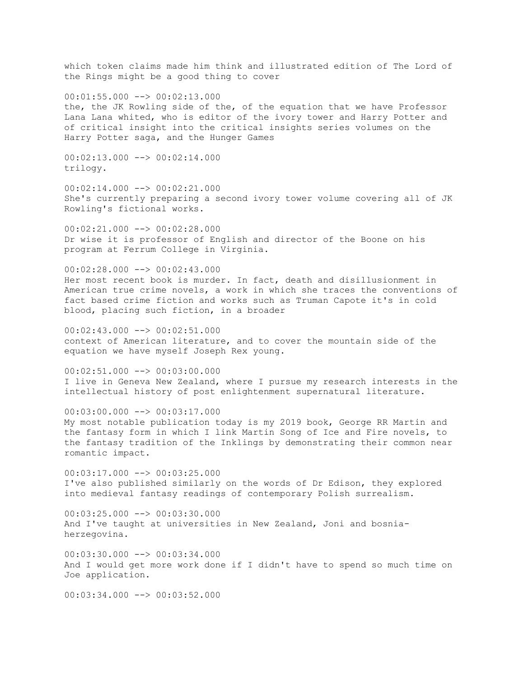which token claims made him think and illustrated edition of The Lord of the Rings might be a good thing to cover 00:01:55.000 --> 00:02:13.000 the, the JK Rowling side of the, of the equation that we have Professor Lana Lana whited, who is editor of the ivory tower and Harry Potter and of critical insight into the critical insights series volumes on the Harry Potter saga, and the Hunger Games  $00:02:13.000$  -->  $00:02:14.000$ trilogy.  $00:02:14.000$  -->  $00:02:21.000$ She's currently preparing a second ivory tower volume covering all of JK Rowling's fictional works. 00:02:21.000 --> 00:02:28.000 Dr wise it is professor of English and director of the Boone on his program at Ferrum College in Virginia.  $00:02:28.000$  -->  $00:02:43.000$ Her most recent book is murder. In fact, death and disillusionment in American true crime novels, a work in which she traces the conventions of fact based crime fiction and works such as Truman Capote it's in cold blood, placing such fiction, in a broader  $00:02:43.000$  -->  $00:02:51.000$ context of American literature, and to cover the mountain side of the equation we have myself Joseph Rex young. 00:02:51.000 --> 00:03:00.000 I live in Geneva New Zealand, where I pursue my research interests in the intellectual history of post enlightenment supernatural literature. 00:03:00.000 --> 00:03:17.000 My most notable publication today is my 2019 book, George RR Martin and the fantasy form in which I link Martin Song of Ice and Fire novels, to the fantasy tradition of the Inklings by demonstrating their common near romantic impact. 00:03:17.000 --> 00:03:25.000 I've also published similarly on the words of Dr Edison, they explored into medieval fantasy readings of contemporary Polish surrealism.  $00:03:25.000$  -->  $00:03:30.000$ And I've taught at universities in New Zealand, Joni and bosniaherzegovina. 00:03:30.000 --> 00:03:34.000 And I would get more work done if I didn't have to spend so much time on Joe application.  $00:03:34.000$  -->  $00:03:52.000$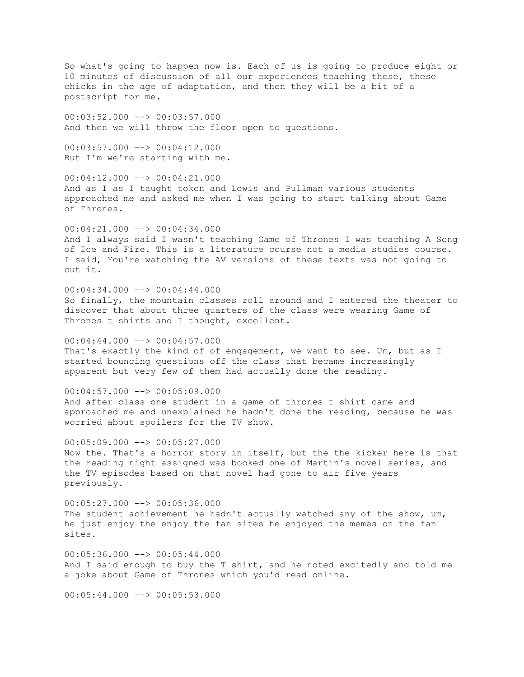So what's going to happen now is. Each of us is going to produce eight or 10 minutes of discussion of all our experiences teaching these, these chicks in the age of adaptation, and then they will be a bit of a postscript for me. 00:03:52.000 --> 00:03:57.000 And then we will throw the floor open to questions.  $00:03:57.000$  -->  $00:04:12.000$ But I'm we're starting with me. 00:04:12.000 --> 00:04:21.000 And as I as I taught token and Lewis and Pullman various students approached me and asked me when I was going to start talking about Game of Thrones. 00:04:21.000 --> 00:04:34.000 And I always said I wasn't teaching Game of Thrones I was teaching A Song of Ice and Fire. This is a literature course not a media studies course. I said, You're watching the AV versions of these texts was not going to cut it. 00:04:34.000 --> 00:04:44.000 So finally, the mountain classes roll around and I entered the theater to discover that about three quarters of the class were wearing Game of Thrones t shirts and I thought, excellent.  $00:04:44.000$   $\longrightarrow$  00:04:57.000 That's exactly the kind of of engagement, we want to see. Um, but as I started bouncing questions off the class that became increasingly apparent but very few of them had actually done the reading.  $00:04:57.000$  -->  $00:05:09.000$ And after class one student in a game of thrones t shirt came and approached me and unexplained he hadn't done the reading, because he was worried about spoilers for the TV show.  $00:05:09.000$  -->  $00:05:27.000$ Now the. That's a horror story in itself, but the the kicker here is that the reading night assigned was booked one of Martin's novel series, and the TV episodes based on that novel had gone to air five years previously.  $00:05:27.000$  -->  $00:05:36.000$ The student achievement he hadn't actually watched any of the show, um, he just enjoy the enjoy the fan sites he enjoyed the memes on the fan sites.  $00:05:36.000$  -->  $00:05:44.000$ And I said enough to buy the T shirt, and he noted excitedly and told me a joke about Game of Thrones which you'd read online.  $00:05:44.000$   $\rightarrow$  00:05:53.000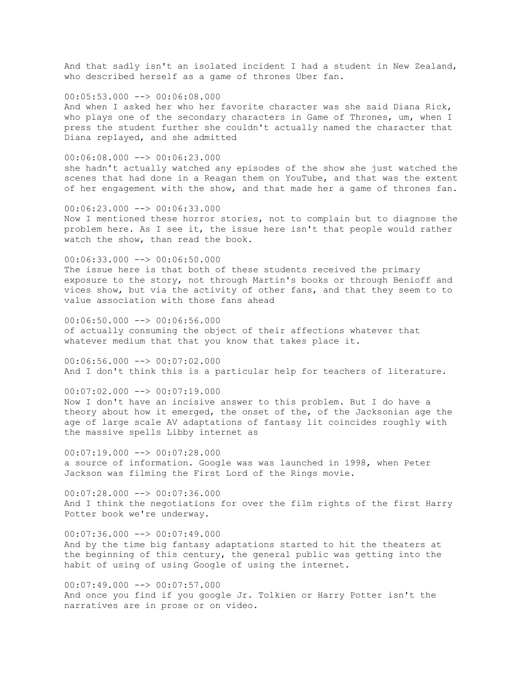And that sadly isn't an isolated incident I had a student in New Zealand, who described herself as a game of thrones Uber fan.

 $00:05:53.000$  -->  $00:06:08.000$ And when I asked her who her favorite character was she said Diana Rick, who plays one of the secondary characters in Game of Thrones, um, when I press the student further she couldn't actually named the character that Diana replayed, and she admitted

 $00:06:08.000$  -->  $00:06:23.000$ 

she hadn't actually watched any episodes of the show she just watched the scenes that had done in a Reagan them on YouTube, and that was the extent of her engagement with the show, and that made her a game of thrones fan.

00:06:23.000 --> 00:06:33.000 Now I mentioned these horror stories, not to complain but to diagnose the problem here. As I see it, the issue here isn't that people would rather watch the show, than read the book.

00:06:33.000 --> 00:06:50.000 The issue here is that both of these students received the primary exposure to the story, not through Martin's books or through Benioff and vices show, but via the activity of other fans, and that they seem to to value association with those fans ahead

 $00:06:50.000$  -->  $00:06:56.000$ of actually consuming the object of their affections whatever that whatever medium that that you know that takes place it.

00:06:56.000 --> 00:07:02.000 And I don't think this is a particular help for teachers of literature.

 $00:07:02.000$  -->  $00:07:19.000$ 

Now I don't have an incisive answer to this problem. But I do have a theory about how it emerged, the onset of the, of the Jacksonian age the age of large scale AV adaptations of fantasy lit coincides roughly with the massive spells Libby internet as

 $00:07:19.000$  -->  $00:07:28.000$ a source of information. Google was was launched in 1998, when Peter Jackson was filming the First Lord of the Rings movie.

00:07:28.000 --> 00:07:36.000 And I think the negotiations for over the film rights of the first Harry Potter book we're underway.

 $00:07:36.000$  -->  $00:07:49.000$ And by the time big fantasy adaptations started to hit the theaters at the beginning of this century, the general public was getting into the habit of using of using Google of using the internet.

 $00:07:49.000$   $\longrightarrow$  00:07:57.000 And once you find if you google Jr. Tolkien or Harry Potter isn't the narratives are in prose or on video.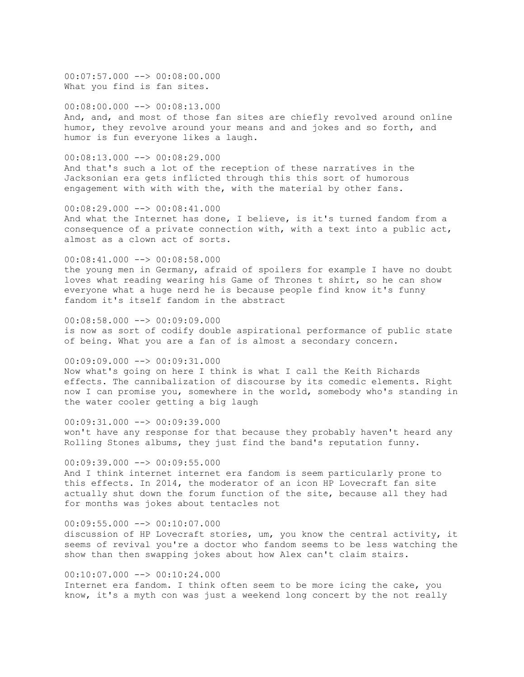$00:07:57.000$   $\rightarrow$   $00:08:00.000$ What you find is fan sites.

00:08:00.000 --> 00:08:13.000 And, and, and most of those fan sites are chiefly revolved around online humor, they revolve around your means and and jokes and so forth, and humor is fun everyone likes a laugh.

 $00:08:13.000$  -->  $00:08:29.000$ And that's such a lot of the reception of these narratives in the Jacksonian era gets inflicted through this this sort of humorous engagement with with with the, with the material by other fans.

00:08:29.000 --> 00:08:41.000 And what the Internet has done, I believe, is it's turned fandom from a consequence of a private connection with, with a text into a public act, almost as a clown act of sorts.

00:08:41.000 --> 00:08:58.000 the young men in Germany, afraid of spoilers for example I have no doubt loves what reading wearing his Game of Thrones t shirt, so he can show everyone what a huge nerd he is because people find know it's funny fandom it's itself fandom in the abstract

00:08:58.000 --> 00:09:09.000 is now as sort of codify double aspirational performance of public state of being. What you are a fan of is almost a secondary concern.

00:09:09.000 --> 00:09:31.000 Now what's going on here I think is what I call the Keith Richards effects. The cannibalization of discourse by its comedic elements. Right now I can promise you, somewhere in the world, somebody who's standing in the water cooler getting a big laugh

 $00:09:31.000$  -->  $00:09:39.000$ won't have any response for that because they probably haven't heard any Rolling Stones albums, they just find the band's reputation funny.

 $00:09:39.000$   $\longrightarrow$  00:09:55.000 And I think internet internet era fandom is seem particularly prone to this effects. In 2014, the moderator of an icon HP Lovecraft fan site actually shut down the forum function of the site, because all they had for months was jokes about tentacles not

 $00:09:55.000$   $\rightarrow$   $\rightarrow$  00:10:07.000 discussion of HP Lovecraft stories, um, you know the central activity, it seems of revival you're a doctor who fandom seems to be less watching the show than then swapping jokes about how Alex can't claim stairs.

 $00:10:07.000$  -->  $00:10:24.000$ Internet era fandom. I think often seem to be more icing the cake, you know, it's a myth con was just a weekend long concert by the not really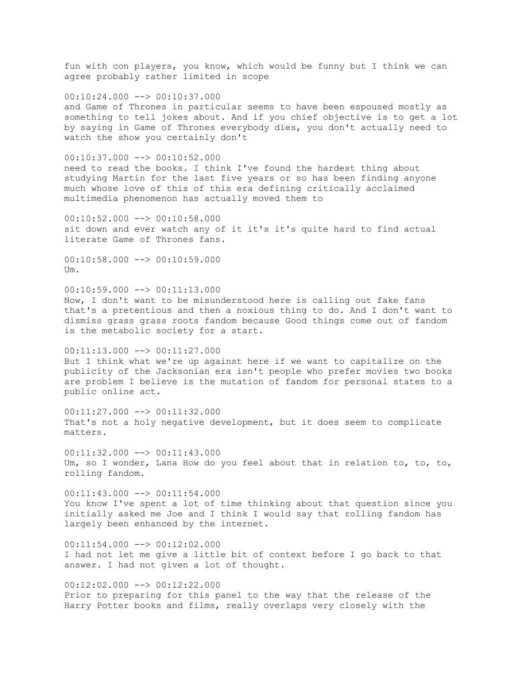fun with con players, you know, which would be funny but I think we can agree probably rather limited in scope  $00:10:24.000$   $\longrightarrow$  00:10:37.000 and Game of Thrones in particular seems to have been espoused mostly as something to tell jokes about. And if you chief objective is to get a lot by saying in Game of Thrones everybody dies, you don't actually need to watch the show you certainly don't  $00:10:37.000$  -->  $00:10:52.000$ need to read the books. I think I've found the hardest thing about studying Martin for the last five years or so has been finding anyone much whose love of this of this era defining critically acclaimed multimedia phenomenon has actually moved them to 00:10:52.000 --> 00:10:58.000 sit down and ever watch any of it it's it's quite hard to find actual literate Game of Thrones fans. 00:10:58.000 --> 00:10:59.000 Um. 00:10:59.000 --> 00:11:13.000 Now, I don't want to be misunderstood here is calling out fake fans that's a pretentious and then a noxious thing to do. And I don't want to dismiss grass grass roots fandom because Good things come out of fandom is the metabolic society for a start. 00:11:13.000 --> 00:11:27.000 But I think what we're up against here if we want to capitalize on the publicity of the Jacksonian era isn't people who prefer movies two books are problem I believe is the mutation of fandom for personal states to a public online act. 00:11:27.000 --> 00:11:32.000 That's not a holy negative development, but it does seem to complicate matters.  $00:11:32.000$  -->  $00:11:43.000$ Um, so I wonder, Lana How do you feel about that in relation to, to, to, rolling fandom. 00:11:43.000 --> 00:11:54.000 You know I've spent a lot of time thinking about that question since you initially asked me Joe and I think I would say that rolling fandom has largely been enhanced by the internet.  $00:11:54.000$   $\longrightarrow 00:12:02.000$ I had not let me give a little bit of context before I go back to that answer. I had not given a lot of thought.  $00:12:02.000$  -->  $00:12:22.000$ Prior to preparing for this panel to the way that the release of the Harry Potter books and films, really overlaps very closely with the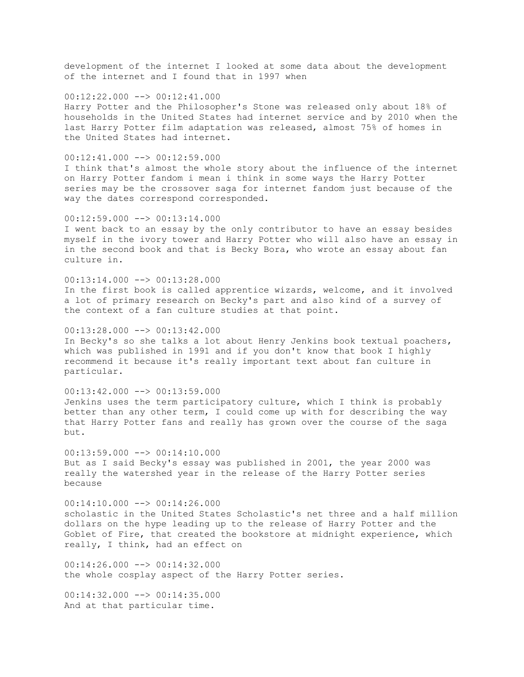development of the internet I looked at some data about the development of the internet and I found that in 1997 when

 $00:12:22.000$   $\longrightarrow$   $00:12:41.000$ Harry Potter and the Philosopher's Stone was released only about 18% of households in the United States had internet service and by 2010 when the last Harry Potter film adaptation was released, almost 75% of homes in the United States had internet.

 $00:12:41.000$  -->  $00:12:59.000$ 

I think that's almost the whole story about the influence of the internet on Harry Potter fandom i mean i think in some ways the Harry Potter series may be the crossover saga for internet fandom just because of the way the dates correspond corresponded.

#### $00:12:59.000$  -->  $00:13:14.000$

I went back to an essay by the only contributor to have an essay besides myself in the ivory tower and Harry Potter who will also have an essay in in the second book and that is Becky Bora, who wrote an essay about fan culture in.

 $00:13:14.000$   $\longrightarrow$   $00:13:28.000$ In the first book is called apprentice wizards, welcome, and it involved a lot of primary research on Becky's part and also kind of a survey of the context of a fan culture studies at that point.

 $00:13:28.000$  -->  $00:13:42.000$ In Becky's so she talks a lot about Henry Jenkins book textual poachers, which was published in 1991 and if you don't know that book I highly recommend it because it's really important text about fan culture in particular.

 $00:13:42.000$  -->  $00:13:59.000$ Jenkins uses the term participatory culture, which I think is probably better than any other term, I could come up with for describing the way that Harry Potter fans and really has grown over the course of the saga but.

 $00:13:59.000$  -->  $00:14:10.000$ But as I said Becky's essay was published in 2001, the year 2000 was really the watershed year in the release of the Harry Potter series because

 $00:14:10.000$  -->  $00:14:26.000$ scholastic in the United States Scholastic's net three and a half million dollars on the hype leading up to the release of Harry Potter and the Goblet of Fire, that created the bookstore at midnight experience, which really, I think, had an effect on

00:14:26.000 --> 00:14:32.000 the whole cosplay aspect of the Harry Potter series.

 $00:14:32.000$  -->  $00:14:35.000$ And at that particular time.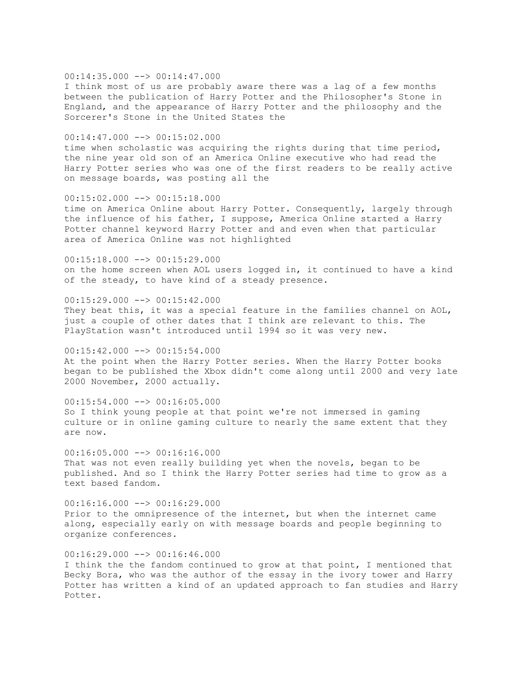### $00:14:35.000$  -->  $00:14:47.000$

I think most of us are probably aware there was a lag of a few months between the publication of Harry Potter and the Philosopher's Stone in England, and the appearance of Harry Potter and the philosophy and the Sorcerer's Stone in the United States the

### $00:14:47.000$  -->  $00:15:02.000$

time when scholastic was acquiring the rights during that time period, the nine year old son of an America Online executive who had read the Harry Potter series who was one of the first readers to be really active on message boards, was posting all the

#### 00:15:02.000 --> 00:15:18.000

time on America Online about Harry Potter. Consequently, largely through the influence of his father, I suppose, America Online started a Harry Potter channel keyword Harry Potter and and even when that particular area of America Online was not highlighted

 $00:15:18.000$  -->  $00:15:29.000$ on the home screen when AOL users logged in, it continued to have a kind of the steady, to have kind of a steady presence.

### 00:15:29.000 --> 00:15:42.000

They beat this, it was a special feature in the families channel on AOL, just a couple of other dates that I think are relevant to this. The PlayStation wasn't introduced until 1994 so it was very new.

00:15:42.000 --> 00:15:54.000 At the point when the Harry Potter series. When the Harry Potter books began to be published the Xbox didn't come along until 2000 and very late 2000 November, 2000 actually.

### $00:15:54.000$  -->  $00:16:05.000$

So I think young people at that point we're not immersed in gaming culture or in online gaming culture to nearly the same extent that they are now.

 $00:16:05.000$  -->  $00:16:16.000$ That was not even really building yet when the novels, began to be published. And so I think the Harry Potter series had time to grow as a text based fandom.

00:16:16.000 --> 00:16:29.000 Prior to the omnipresence of the internet, but when the internet came along, especially early on with message boards and people beginning to organize conferences.

### $00:16:29.000$  -->  $00:16:46.000$

I think the the fandom continued to grow at that point, I mentioned that Becky Bora, who was the author of the essay in the ivory tower and Harry Potter has written a kind of an updated approach to fan studies and Harry Potter.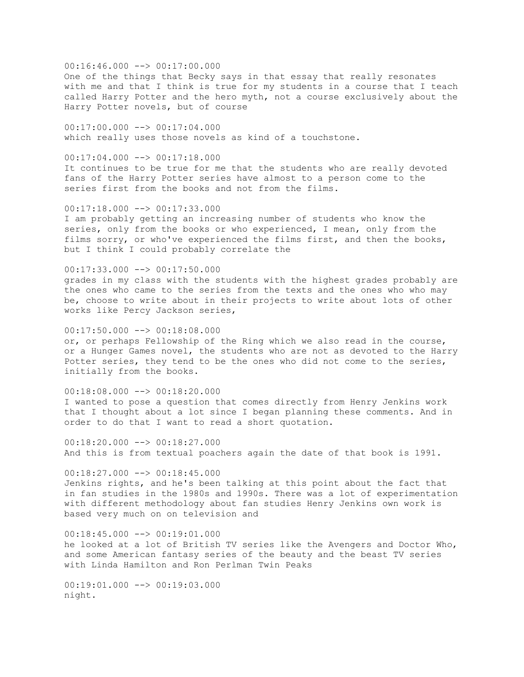# $00:16:46.000$  -->  $00:17:00.000$

One of the things that Becky says in that essay that really resonates with me and that I think is true for my students in a course that I teach called Harry Potter and the hero myth, not a course exclusively about the Harry Potter novels, but of course

 $00:17:00.000$  -->  $00:17:04.000$ which really uses those novels as kind of a touchstone.

# $00:17:04.000$  -->  $00:17:18.000$

It continues to be true for me that the students who are really devoted fans of the Harry Potter series have almost to a person come to the series first from the books and not from the films.

# $00:17:18.000$  -->  $00:17:33.000$

I am probably getting an increasing number of students who know the series, only from the books or who experienced, I mean, only from the films sorry, or who've experienced the films first, and then the books, but I think I could probably correlate the

# $00:17:33.000$  -->  $00:17:50.000$

grades in my class with the students with the highest grades probably are the ones who came to the series from the texts and the ones who who may be, choose to write about in their projects to write about lots of other works like Percy Jackson series,

### $00:17:50.000$  -->  $00:18:08.000$

or, or perhaps Fellowship of the Ring which we also read in the course, or a Hunger Games novel, the students who are not as devoted to the Harry Potter series, they tend to be the ones who did not come to the series, initially from the books.

### $00:18:08.000$  -->  $00:18:20.000$

I wanted to pose a question that comes directly from Henry Jenkins work that I thought about a lot since I began planning these comments. And in order to do that I want to read a short quotation.

 $00:18:20.000$  -->  $00:18:27.000$ And this is from textual poachers again the date of that book is 1991.

00:18:27.000 --> 00:18:45.000 Jenkins rights, and he's been talking at this point about the fact that in fan studies in the 1980s and 1990s. There was a lot of experimentation with different methodology about fan studies Henry Jenkins own work is based very much on on television and

 $00:18:45.000$  -->  $00:19:01.000$ he looked at a lot of British TV series like the Avengers and Doctor Who, and some American fantasy series of the beauty and the beast TV series with Linda Hamilton and Ron Perlman Twin Peaks

 $00:19:01.000$  -->  $00:19:03.000$ night.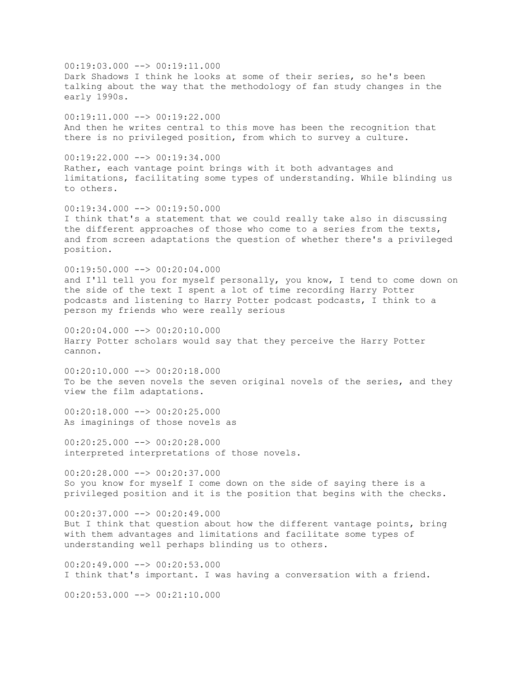$00:19:03.000$  -->  $00:19:11.000$ Dark Shadows I think he looks at some of their series, so he's been talking about the way that the methodology of fan study changes in the early 1990s. 00:19:11.000 --> 00:19:22.000 And then he writes central to this move has been the recognition that there is no privileged position, from which to survey a culture.  $00:19:22.000$  -->  $00:19:34.000$ Rather, each vantage point brings with it both advantages and limitations, facilitating some types of understanding. While blinding us to others.  $00:19:34.000$  -->  $00:19:50.000$ I think that's a statement that we could really take also in discussing the different approaches of those who come to a series from the texts, and from screen adaptations the question of whether there's a privileged position.  $00:19:50.000$  -->  $00:20:04.000$ and I'll tell you for myself personally, you know, I tend to come down on the side of the text I spent a lot of time recording Harry Potter podcasts and listening to Harry Potter podcast podcasts, I think to a person my friends who were really serious  $00:20:04.000$  -->  $00:20:10.000$ Harry Potter scholars would say that they perceive the Harry Potter cannon. 00:20:10.000 --> 00:20:18.000 To be the seven novels the seven original novels of the series, and they view the film adaptations. 00:20:18.000 --> 00:20:25.000 As imaginings of those novels as  $00:20:25.000$  -->  $00:20:28.000$ interpreted interpretations of those novels.  $00:20:28.000$  -->  $00:20:37.000$ So you know for myself I come down on the side of saying there is a privileged position and it is the position that begins with the checks.  $00:20:37.000$  -->  $00:20:49.000$ But I think that question about how the different vantage points, bring with them advantages and limitations and facilitate some types of understanding well perhaps blinding us to others.  $00:20:49.000$  -->  $00:20:53.000$ I think that's important. I was having a conversation with a friend.  $00:20:53.000$  -->  $00:21:10.000$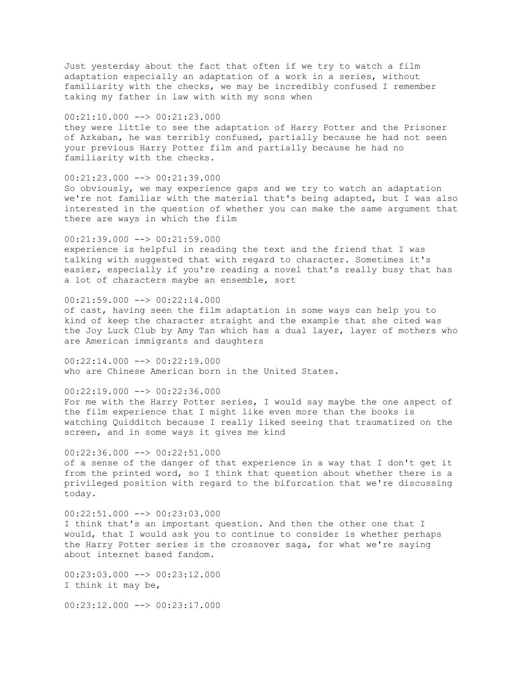Just yesterday about the fact that often if we try to watch a film adaptation especially an adaptation of a work in a series, without familiarity with the checks, we may be incredibly confused I remember taking my father in law with with my sons when

00:21:10.000 --> 00:21:23.000

they were little to see the adaptation of Harry Potter and the Prisoner of Azkaban, he was terribly confused, partially because he had not seen your previous Harry Potter film and partially because he had no familiarity with the checks.

00:21:23.000 --> 00:21:39.000 So obviously, we may experience gaps and we try to watch an adaptation we're not familiar with the material that's being adapted, but I was also interested in the question of whether you can make the same argument that there are ways in which the film

 $00:21:39.000$  -->  $00:21:59.000$ experience is helpful in reading the text and the friend that I was talking with suggested that with regard to character. Sometimes it's easier, especially if you're reading a novel that's really busy that has a lot of characters maybe an ensemble, sort

00:21:59.000 --> 00:22:14.000

of cast, having seen the film adaptation in some ways can help you to kind of keep the character straight and the example that she cited was the Joy Luck Club by Amy Tan which has a dual layer, layer of mothers who are American immigrants and daughters

00:22:14.000 --> 00:22:19.000 who are Chinese American born in the United States.

 $00:22:19.000$  -->  $00:22:36.000$ 

For me with the Harry Potter series, I would say maybe the one aspect of the film experience that I might like even more than the books is watching Quidditch because I really liked seeing that traumatized on the screen, and in some ways it gives me kind

 $00:22:36.000$  -->  $00:22:51.000$ of a sense of the danger of that experience in a way that I don't get it from the printed word, so I think that question about whether there is a privileged position with regard to the bifurcation that we're discussing today.

 $00:22:51.000$  -->  $00:23:03.000$ I think that's an important question. And then the other one that I would, that I would ask you to continue to consider is whether perhaps the Harry Potter series is the crossover saga, for what we're saying about internet based fandom.

00:23:03.000 --> 00:23:12.000 I think it may be,

00:23:12.000 --> 00:23:17.000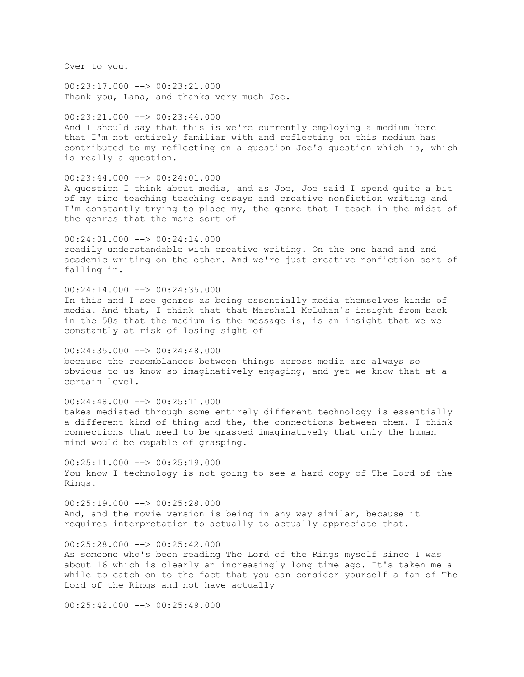Over to you.

 $00:23:17.000$  -->  $00:23:21.000$ Thank you, Lana, and thanks very much Joe.

00:23:21.000 --> 00:23:44.000 And I should say that this is we're currently employing a medium here that I'm not entirely familiar with and reflecting on this medium has contributed to my reflecting on a question Joe's question which is, which is really a question.

00:23:44.000 --> 00:24:01.000 A question I think about media, and as Joe, Joe said I spend quite a bit of my time teaching teaching essays and creative nonfiction writing and I'm constantly trying to place my, the genre that I teach in the midst of the genres that the more sort of

 $00:24:01.000$  -->  $00:24:14.000$ readily understandable with creative writing. On the one hand and and academic writing on the other. And we're just creative nonfiction sort of falling in.

00:24:14.000 --> 00:24:35.000 In this and I see genres as being essentially media themselves kinds of media. And that, I think that that Marshall McLuhan's insight from back in the 50s that the medium is the message is, is an insight that we we constantly at risk of losing sight of

00:24:35.000 --> 00:24:48.000 because the resemblances between things across media are always so obvious to us know so imaginatively engaging, and yet we know that at a certain level.

 $00:24:48.000$   $\longrightarrow$   $00:25:11.000$ takes mediated through some entirely different technology is essentially a different kind of thing and the, the connections between them. I think connections that need to be grasped imaginatively that only the human mind would be capable of grasping.

 $00:25:11.000$   $\rightarrow$   $00:25:19.000$ You know I technology is not going to see a hard copy of The Lord of the Rings.

00:25:19.000 --> 00:25:28.000 And, and the movie version is being in any way similar, because it requires interpretation to actually to actually appreciate that.

 $00:25:28.000$   $\rightarrow$   $\rightarrow$  00:25:42.000 As someone who's been reading The Lord of the Rings myself since I was about 16 which is clearly an increasingly long time ago. It's taken me a while to catch on to the fact that you can consider yourself a fan of The Lord of the Rings and not have actually

 $00:25:42.000$   $\rightarrow$   $00:25:49.000$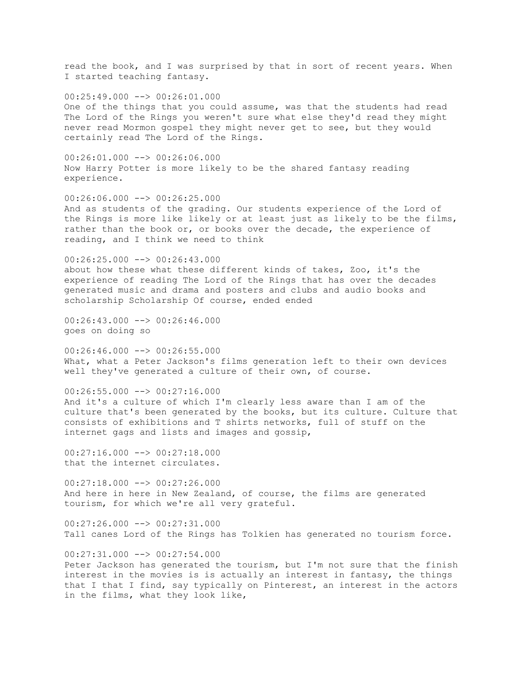read the book, and I was surprised by that in sort of recent years. When I started teaching fantasy.  $00:25:49.000$   $\longrightarrow$   $00:26:01.000$ One of the things that you could assume, was that the students had read The Lord of the Rings you weren't sure what else they'd read they might never read Mormon gospel they might never get to see, but they would certainly read The Lord of the Rings.  $00:26:01.000$  -->  $00:26:06.000$ Now Harry Potter is more likely to be the shared fantasy reading experience.  $00:26:06.000$  -->  $00:26:25.000$ And as students of the grading. Our students experience of the Lord of the Rings is more like likely or at least just as likely to be the films, rather than the book or, or books over the decade, the experience of reading, and I think we need to think  $00:26:25.000$  -->  $00:26:43.000$ about how these what these different kinds of takes, Zoo, it's the experience of reading The Lord of the Rings that has over the decades generated music and drama and posters and clubs and audio books and scholarship Scholarship Of course, ended ended  $00:26:43.000$  -->  $00:26:46.000$ goes on doing so 00:26:46.000 --> 00:26:55.000 What, what a Peter Jackson's films generation left to their own devices well they've generated a culture of their own, of course.  $00:26:55.000$  -->  $00:27:16.000$ And it's a culture of which I'm clearly less aware than I am of the culture that's been generated by the books, but its culture. Culture that consists of exhibitions and T shirts networks, full of stuff on the internet gags and lists and images and gossip,  $00:27:16.000$  -->  $00:27:18.000$ that the internet circulates. 00:27:18.000 --> 00:27:26.000 And here in here in New Zealand, of course, the films are generated tourism, for which we're all very grateful.  $00:27:26.000$   $\longrightarrow 00:27:31.000$ Tall canes Lord of the Rings has Tolkien has generated no tourism force. 00:27:31.000 --> 00:27:54.000 Peter Jackson has generated the tourism, but I'm not sure that the finish interest in the movies is is actually an interest in fantasy, the things that I that I find, say typically on Pinterest, an interest in the actors

in the films, what they look like,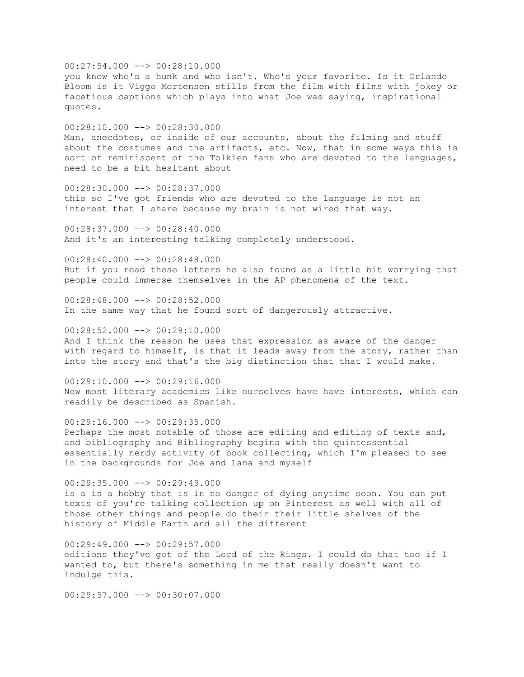$00:27:54.000$  -->  $00:28:10.000$ you know who's a hunk and who isn't. Who's your favorite. Is it Orlando Bloom is it Viggo Mortensen stills from the film with films with jokey or facetious captions which plays into what Joe was saying, inspirational quotes. 00:28:10.000 --> 00:28:30.000 Man, anecdotes, or inside of our accounts, about the filming and stuff about the costumes and the artifacts, etc. Now, that in some ways this is sort of reminiscent of the Tolkien fans who are devoted to the languages, need to be a bit hesitant about  $00:28:30.000$  -->  $00:28:37.000$ this so I've got friends who are devoted to the language is not an interest that I share because my brain is not wired that way. 00:28:37.000 --> 00:28:40.000 And it's an interesting talking completely understood. 00:28:40.000 --> 00:28:48.000 But if you read these letters he also found as a little bit worrying that people could immerse themselves in the AP phenomena of the text. 00:28:48.000 --> 00:28:52.000 In the same way that he found sort of dangerously attractive. 00:28:52.000 --> 00:29:10.000 And I think the reason he uses that expression as aware of the danger with regard to himself, is that it leads away from the story, rather than into the story and that's the big distinction that that I would make.  $00:29:10.000$  -->  $00:29:16.000$ Now most literary academics like ourselves have have interests, which can readily be described as Spanish.  $00:29:16.000$  -->  $00:29:35.000$ Perhaps the most notable of those are editing and editing of texts and, and bibliography and Bibliography begins with the quintessential essentially nerdy activity of book collecting, which I'm pleased to see in the backgrounds for Joe and Lana and myself 00:29:35.000 --> 00:29:49.000 is a is a hobby that is in no danger of dying anytime soon. You can put texts of you're talking collection up on Pinterest as well with all of those other things and people do their their little shelves of the history of Middle Earth and all the different  $00:29:49.000$  -->  $00:29:57.000$ editions they've got of the Lord of the Rings. I could do that too if I wanted to, but there's something in me that really doesn't want to indulge this.

 $00:29:57.000$   $\longrightarrow$  00:30:07.000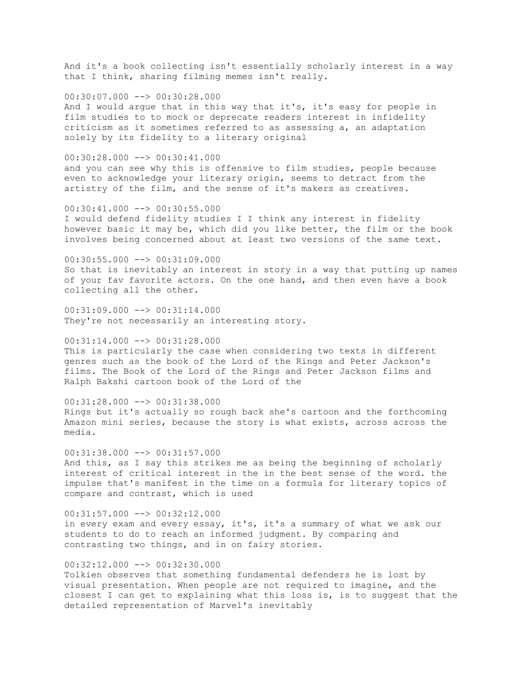And it's a book collecting isn't essentially scholarly interest in a way that I think, sharing filming memes isn't really.

 $00:30:07.000$  -->  $00:30:28.000$ And I would argue that in this way that it's, it's easy for people in film studies to to mock or deprecate readers interest in infidelity criticism as it sometimes referred to as assessing a, an adaptation solely by its fidelity to a literary original

00:30:28.000 --> 00:30:41.000 and you can see why this is offensive to film studies, people because even to acknowledge your literary origin, seems to detract from the artistry of the film, and the sense of it's makers as creatives.

00:30:41.000 --> 00:30:55.000 I would defend fidelity studies I I think any interest in fidelity however basic it may be, which did you like better, the film or the book involves being concerned about at least two versions of the same text.

00:30:55.000 --> 00:31:09.000 So that is inevitably an interest in story in a way that putting up names of your fav favorite actors. On the one hand, and then even have a book collecting all the other.

 $00:31:09.000$   $\longrightarrow$   $00:31:14.000$ They're not necessarily an interesting story.

00:31:14.000 --> 00:31:28.000 This is particularly the case when considering two texts in different genres such as the book of the Lord of the Rings and Peter Jackson's films. The Book of the Lord of the Rings and Peter Jackson films and Ralph Bakshi cartoon book of the Lord of the

 $00:31:28.000$  -->  $00:31:38.000$ Rings but it's actually so rough back she's cartoon and the forthcoming Amazon mini series, because the story is what exists, across across the media.

00:31:38.000 --> 00:31:57.000 And this, as I say this strikes me as being the beginning of scholarly interest of critical interest in the in the best sense of the word. the impulse that's manifest in the time on a formula for literary topics of compare and contrast, which is used

 $00:31:57.000$  -->  $00:32:12.000$ in every exam and every essay, it's, it's a summary of what we ask our students to do to reach an informed judgment. By comparing and contrasting two things, and in on fairy stories.

00:32:12.000 --> 00:32:30.000 Tolkien observes that something fundamental defenders he is lost by visual presentation. When people are not required to imagine, and the closest I can get to explaining what this loss is, is to suggest that the detailed representation of Marvel's inevitably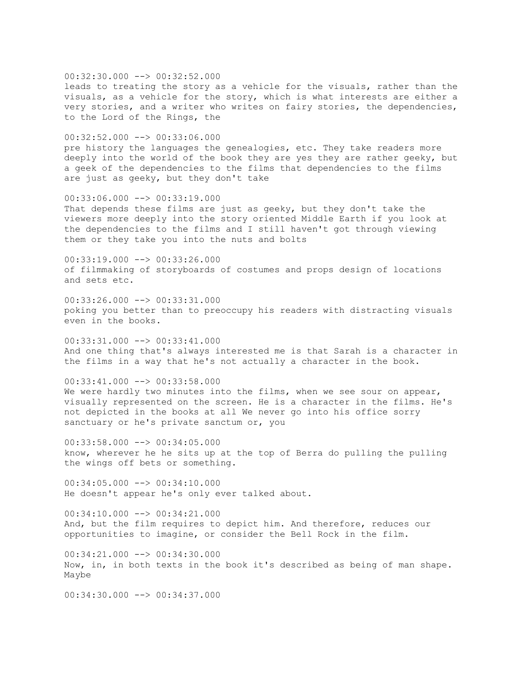00:32:30.000 --> 00:32:52.000 leads to treating the story as a vehicle for the visuals, rather than the visuals, as a vehicle for the story, which is what interests are either a very stories, and a writer who writes on fairy stories, the dependencies, to the Lord of the Rings, the

00:32:52.000 --> 00:33:06.000 pre history the languages the genealogies, etc. They take readers more deeply into the world of the book they are yes they are rather geeky, but a geek of the dependencies to the films that dependencies to the films are just as geeky, but they don't take

00:33:06.000 --> 00:33:19.000 That depends these films are just as geeky, but they don't take the viewers more deeply into the story oriented Middle Earth if you look at the dependencies to the films and I still haven't got through viewing them or they take you into the nuts and bolts

00:33:19.000 --> 00:33:26.000 of filmmaking of storyboards of costumes and props design of locations and sets etc.

00:33:26.000 --> 00:33:31.000 poking you better than to preoccupy his readers with distracting visuals even in the books.

 $00:33:31.000$  -->  $00:33:41.000$ And one thing that's always interested me is that Sarah is a character in the films in a way that he's not actually a character in the book.

 $00:33:41.000$  -->  $00:33:58.000$ We were hardly two minutes into the films, when we see sour on appear, visually represented on the screen. He is a character in the films. He's not depicted in the books at all We never go into his office sorry sanctuary or he's private sanctum or, you

00:33:58.000 --> 00:34:05.000 know, wherever he he sits up at the top of Berra do pulling the pulling the wings off bets or something.

00:34:05.000 --> 00:34:10.000 He doesn't appear he's only ever talked about.

 $00:34:10.000$  -->  $00:34:21.000$ And, but the film requires to depict him. And therefore, reduces our opportunities to imagine, or consider the Bell Rock in the film.

00:34:21.000 --> 00:34:30.000 Now, in, in both texts in the book it's described as being of man shape. Maybe

00:34:30.000 --> 00:34:37.000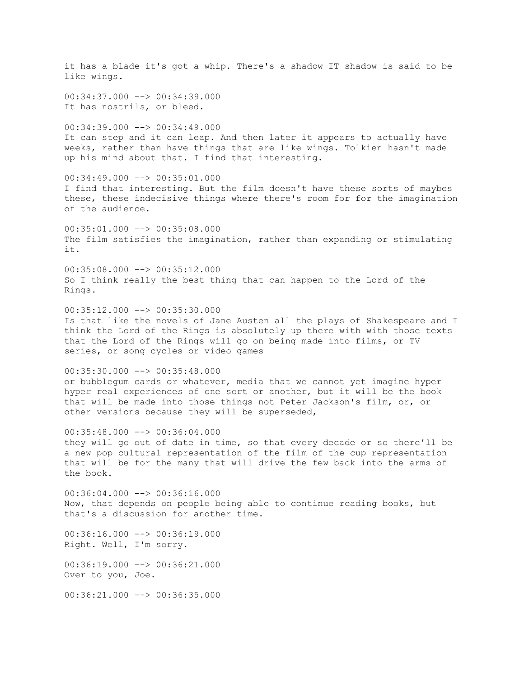it has a blade it's got a whip. There's a shadow IT shadow is said to be like wings. 00:34:37.000 --> 00:34:39.000 It has nostrils, or bleed.  $00:34:39.000$  -->  $00:34:49.000$ It can step and it can leap. And then later it appears to actually have weeks, rather than have things that are like wings. Tolkien hasn't made up his mind about that. I find that interesting. 00:34:49.000 --> 00:35:01.000 I find that interesting. But the film doesn't have these sorts of maybes these, these indecisive things where there's room for for the imagination of the audience. 00:35:01.000 --> 00:35:08.000 The film satisfies the imagination, rather than expanding or stimulating it. 00:35:08.000 --> 00:35:12.000 So I think really the best thing that can happen to the Lord of the Rings.  $00:35:12.000$  -->  $00:35:30.000$ Is that like the novels of Jane Austen all the plays of Shakespeare and I think the Lord of the Rings is absolutely up there with with those texts that the Lord of the Rings will go on being made into films, or TV series, or song cycles or video games 00:35:30.000 --> 00:35:48.000 or bubblegum cards or whatever, media that we cannot yet imagine hyper hyper real experiences of one sort or another, but it will be the book that will be made into those things not Peter Jackson's film, or, or other versions because they will be superseded, 00:35:48.000 --> 00:36:04.000 they will go out of date in time, so that every decade or so there'll be a new pop cultural representation of the film of the cup representation that will be for the many that will drive the few back into the arms of the book.  $00:36:04.000$  -->  $00:36:16.000$ Now, that depends on people being able to continue reading books, but that's a discussion for another time.  $00:36:16.000$  -->  $00:36:19.000$ Right. Well, I'm sorry. 00:36:19.000 --> 00:36:21.000 Over to you, Joe. 00:36:21.000 --> 00:36:35.000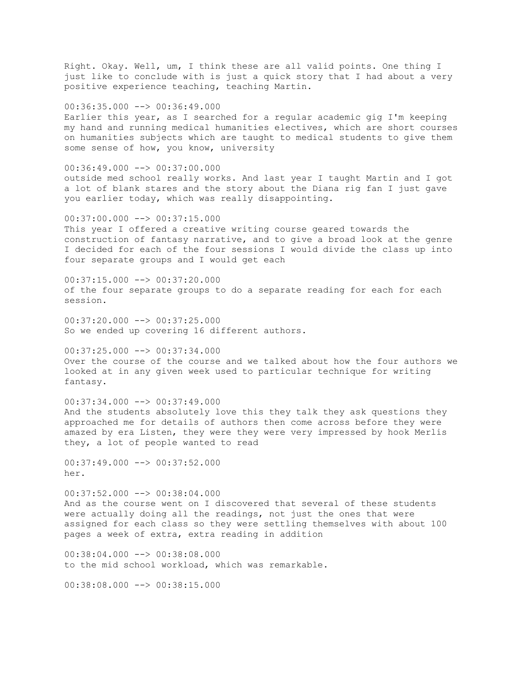Right. Okay. Well, um, I think these are all valid points. One thing I just like to conclude with is just a quick story that I had about a very positive experience teaching, teaching Martin.

 $00:36:35.000$  -->  $00:36:49.000$ Earlier this year, as I searched for a regular academic gig I'm keeping my hand and running medical humanities electives, which are short courses on humanities subjects which are taught to medical students to give them some sense of how, you know, university

 $00:36:49.000$  -->  $00:37:00.000$ outside med school really works. And last year I taught Martin and I got a lot of blank stares and the story about the Diana rig fan I just gave you earlier today, which was really disappointing.

 $00:37:00.000$   $\rightarrow$   $\rightarrow$  00:37:15.000 This year I offered a creative writing course geared towards the construction of fantasy narrative, and to give a broad look at the genre I decided for each of the four sessions I would divide the class up into four separate groups and I would get each

 $00:37:15.000$   $\rightarrow$   $00:37:20.000$ of the four separate groups to do a separate reading for each for each session.

00:37:20.000 --> 00:37:25.000 So we ended up covering 16 different authors.

00:37:25.000 --> 00:37:34.000 Over the course of the course and we talked about how the four authors we looked at in any given week used to particular technique for writing fantasy.

 $00:37:34.000$   $\longrightarrow$   $00:37:49.000$ And the students absolutely love this they talk they ask questions they approached me for details of authors then come across before they were amazed by era Listen, they were they were very impressed by hook Merlis they, a lot of people wanted to read

 $00:37:49.000$  -->  $00:37:52.000$ her.

00:37:52.000 --> 00:38:04.000 And as the course went on I discovered that several of these students were actually doing all the readings, not just the ones that were assigned for each class so they were settling themselves with about 100 pages a week of extra, extra reading in addition

00:38:04.000 --> 00:38:08.000 to the mid school workload, which was remarkable.

00:38:08.000 --> 00:38:15.000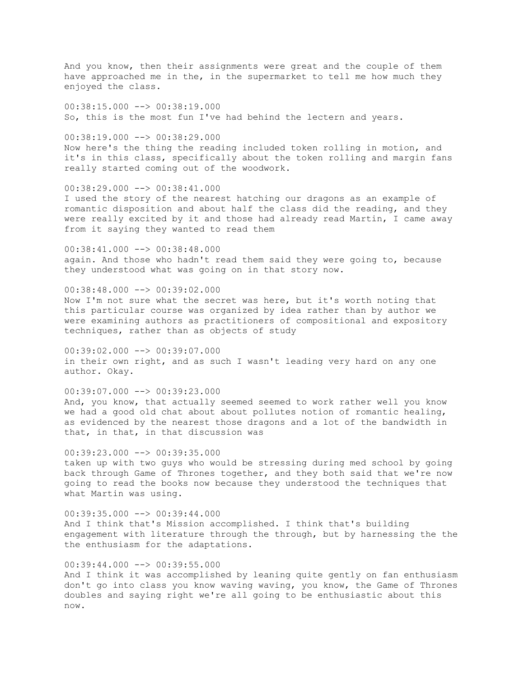And you know, then their assignments were great and the couple of them have approached me in the, in the supermarket to tell me how much they enjoyed the class.

00:38:15.000 --> 00:38:19.000 So, this is the most fun I've had behind the lectern and years.

00:38:19.000 --> 00:38:29.000 Now here's the thing the reading included token rolling in motion, and it's in this class, specifically about the token rolling and margin fans really started coming out of the woodwork.

00:38:29.000 --> 00:38:41.000 I used the story of the nearest hatching our dragons as an example of romantic disposition and about half the class did the reading, and they were really excited by it and those had already read Martin, I came away from it saying they wanted to read them

00:38:41.000 --> 00:38:48.000 again. And those who hadn't read them said they were going to, because they understood what was going on in that story now.

00:38:48.000 --> 00:39:02.000 Now I'm not sure what the secret was here, but it's worth noting that this particular course was organized by idea rather than by author we were examining authors as practitioners of compositional and expository techniques, rather than as objects of study

00:39:02.000 --> 00:39:07.000 in their own right, and as such I wasn't leading very hard on any one author. Okay.

00:39:07.000 --> 00:39:23.000 And, you know, that actually seemed seemed to work rather well you know we had a good old chat about about pollutes notion of romantic healing, as evidenced by the nearest those dragons and a lot of the bandwidth in that, in that, in that discussion was

 $00:39:23.000$  -->  $00:39:35.000$ taken up with two guys who would be stressing during med school by going back through Game of Thrones together, and they both said that we're now going to read the books now because they understood the techniques that what Martin was using.

00:39:35.000 --> 00:39:44.000 And I think that's Mission accomplished. I think that's building engagement with literature through the through, but by harnessing the the the enthusiasm for the adaptations.

 $00:39:44.000$  -->  $00:39:55.000$ And I think it was accomplished by leaning quite gently on fan enthusiasm don't go into class you know waving waving, you know, the Game of Thrones doubles and saying right we're all going to be enthusiastic about this now.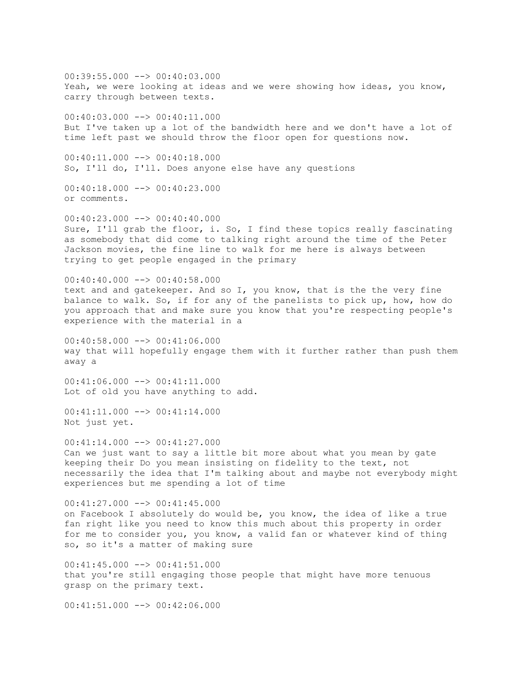$00:39:55.000$   $\rightarrow$   $\rightarrow$  00:40:03.000 Yeah, we were looking at ideas and we were showing how ideas, you know, carry through between texts. 00:40:03.000 --> 00:40:11.000 But I've taken up a lot of the bandwidth here and we don't have a lot of time left past we should throw the floor open for questions now.  $00:40:11.000$  -->  $00:40:18.000$ So, I'll do, I'll. Does anyone else have any questions  $00:40:18.000$  -->  $00:40:23.000$ or comments.  $00:40:23.000$   $\rightarrow$   $\rightarrow$  00:40:40.000 Sure, I'll grab the floor, i. So, I find these topics really fascinating as somebody that did come to talking right around the time of the Peter Jackson movies, the fine line to walk for me here is always between trying to get people engaged in the primary  $00:40:40.000$  -->  $00:40:58.000$ text and and gatekeeper. And so I, you know, that is the the very fine balance to walk. So, if for any of the panelists to pick up, how, how do you approach that and make sure you know that you're respecting people's experience with the material in a  $00:40:58.000$   $\longrightarrow$  00:41:06.000 way that will hopefully engage them with it further rather than push them away a  $00:41:06.000$  -->  $00:41:11.000$ Lot of old you have anything to add. 00:41:11.000 --> 00:41:14.000 Not just yet.  $00:41:14.000$  -->  $00:41:27.000$ Can we just want to say a little bit more about what you mean by gate keeping their Do you mean insisting on fidelity to the text, not necessarily the idea that I'm talking about and maybe not everybody might experiences but me spending a lot of time 00:41:27.000 --> 00:41:45.000 on Facebook I absolutely do would be, you know, the idea of like a true fan right like you need to know this much about this property in order for me to consider you, you know, a valid fan or whatever kind of thing so, so it's a matter of making sure 00:41:45.000 --> 00:41:51.000 that you're still engaging those people that might have more tenuous grasp on the primary text.  $00:41:51.000$   $\rightarrow$  00:42:06.000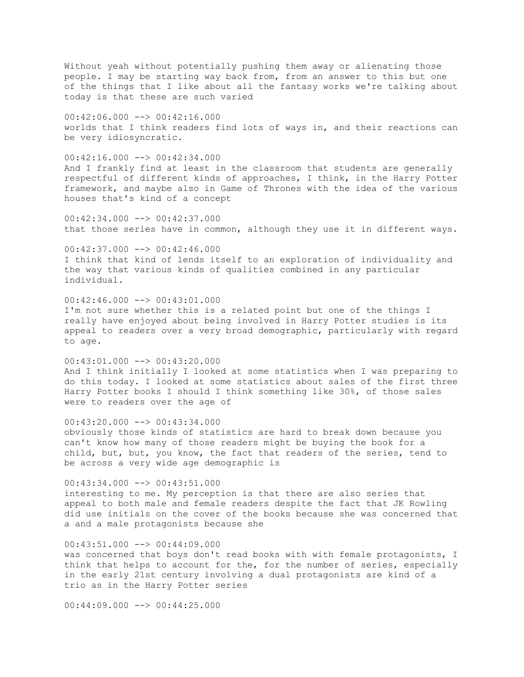Without yeah without potentially pushing them away or alienating those people. I may be starting way back from, from an answer to this but one of the things that I like about all the fantasy works we're talking about today is that these are such varied

 $00:42:06.000$  -->  $00:42:16.000$ worlds that I think readers find lots of ways in, and their reactions can be very idiosyncratic.

 $00:42:16.000$  -->  $00:42:34.000$ And I frankly find at least in the classroom that students are generally respectful of different kinds of approaches, I think, in the Harry Potter framework, and maybe also in Game of Thrones with the idea of the various houses that's kind of a concept

 $00:42:34.000$  -->  $00:42:37.000$ that those series have in common, although they use it in different ways.

 $00:42:37.000$  -->  $00:42:46.000$ I think that kind of lends itself to an exploration of individuality and the way that various kinds of qualities combined in any particular individual.

 $00:42:46.000$  -->  $00:43:01.000$ I'm not sure whether this is a related point but one of the things I really have enjoyed about being involved in Harry Potter studies is its appeal to readers over a very broad demographic, particularly with regard to age.

00:43:01.000 --> 00:43:20.000 And I think initially I looked at some statistics when I was preparing to do this today. I looked at some statistics about sales of the first three Harry Potter books I should I think something like 30%, of those sales were to readers over the age of

 $00:43:20.000$  -->  $00:43:34.000$ obviously those kinds of statistics are hard to break down because you can't know how many of those readers might be buying the book for a child, but, but, you know, the fact that readers of the series, tend to be across a very wide age demographic is

00:43:34.000 --> 00:43:51.000 interesting to me. My perception is that there are also series that appeal to both male and female readers despite the fact that JK Rowling did use initials on the cover of the books because she was concerned that a and a male protagonists because she

 $00:43:51.000$   $\rightarrow$  00:44:09.000 was concerned that boys don't read books with with female protagonists, I think that helps to account for the, for the number of series, especially in the early 21st century involving a dual protagonists are kind of a trio as in the Harry Potter series

 $00:44:09.000$   $\longrightarrow$  00:44:25.000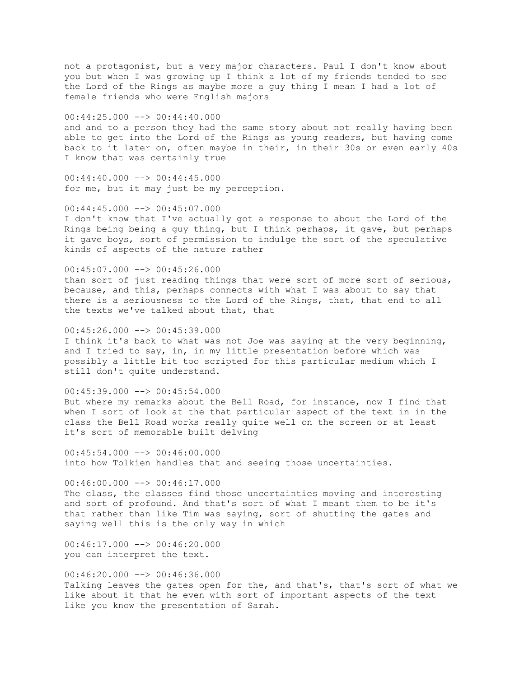not a protagonist, but a very major characters. Paul I don't know about you but when I was growing up I think a lot of my friends tended to see the Lord of the Rings as maybe more a guy thing I mean I had a lot of female friends who were English majors

 $00:44:25.000$  -->  $00:44:40.000$ and and to a person they had the same story about not really having been able to get into the Lord of the Rings as young readers, but having come back to it later on, often maybe in their, in their 30s or even early 40s I know that was certainly true

 $00:44:40.000$  -->  $00:44:45.000$ for me, but it may just be my perception.

 $00:44:45.000$  -->  $00:45:07.000$ I don't know that I've actually got a response to about the Lord of the Rings being being a guy thing, but I think perhaps, it gave, but perhaps it gave boys, sort of permission to indulge the sort of the speculative kinds of aspects of the nature rather

 $00:45:07.000$  -->  $00:45:26.000$ than sort of just reading things that were sort of more sort of serious, because, and this, perhaps connects with what I was about to say that there is a seriousness to the Lord of the Rings, that, that end to all the texts we've talked about that, that

 $00:45:26.000$  -->  $00:45:39.000$ I think it's back to what was not Joe was saying at the very beginning, and I tried to say, in, in my little presentation before which was possibly a little bit too scripted for this particular medium which I still don't quite understand.

 $00:45:39.000$  -->  $00:45:54.000$ But where my remarks about the Bell Road, for instance, now I find that when I sort of look at the that particular aspect of the text in in the class the Bell Road works really quite well on the screen or at least it's sort of memorable built delving

 $00:45:54.000$  -->  $00:46:00.000$ into how Tolkien handles that and seeing those uncertainties.

 $00:46:00.000$  -->  $00:46:17.000$ The class, the classes find those uncertainties moving and interesting and sort of profound. And that's sort of what I meant them to be it's that rather than like Tim was saying, sort of shutting the gates and saying well this is the only way in which

 $00:46:17.000$  -->  $00:46:20.000$ you can interpret the text.

 $00:46:20.000$  -->  $00:46:36.000$ Talking leaves the gates open for the, and that's, that's sort of what we like about it that he even with sort of important aspects of the text like you know the presentation of Sarah.